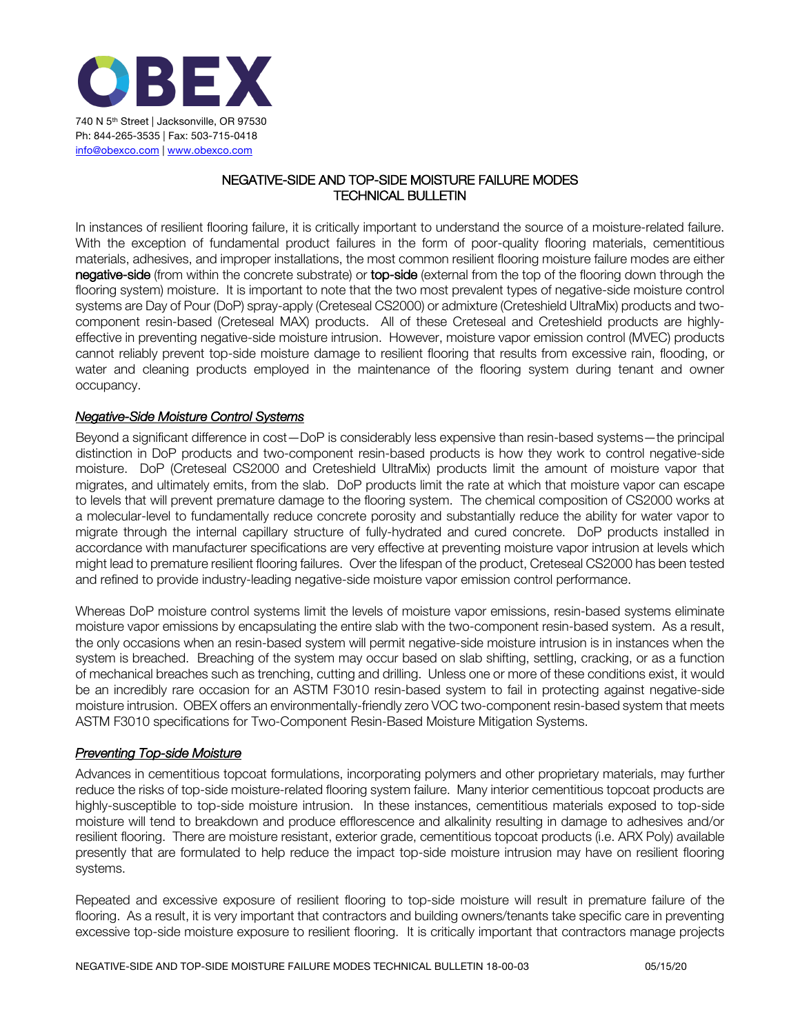

## NEGATIVE-SIDE AND TOP-SIDE MOISTURE FAILURE MODES TECHNICAL BULLETIN

In instances of resilient flooring failure, it is critically important to understand the source of a moisture-related failure. With the exception of fundamental product failures in the form of poor-quality flooring materials, cementitious materials, adhesives, and improper installations, the most common resilient flooring moisture failure modes are either negative-side (from within the concrete substrate) or top-side (external from the top of the flooring down through the flooring system) moisture. It is important to note that the two most prevalent types of negative-side moisture control systems are Day of Pour (DoP) spray-apply (Creteseal CS2000) or admixture (Creteshield UltraMix) products and twocomponent resin-based (Creteseal MAX) products. All of these Creteseal and Creteshield products are highlyeffective in preventing negative-side moisture intrusion. However, moisture vapor emission control (MVEC) products cannot reliably prevent top-side moisture damage to resilient flooring that results from excessive rain, flooding, or water and cleaning products employed in the maintenance of the flooring system during tenant and owner occupancy.

## *Negative-Side Moisture Control Systems*

Beyond a significant difference in cost—DoP is considerably less expensive than resin-based systems—the principal distinction in DoP products and two-component resin-based products is how they work to control negative-side moisture. DoP (Creteseal CS2000 and Creteshield UltraMix) products limit the amount of moisture vapor that migrates, and ultimately emits, from the slab. DoP products limit the rate at which that moisture vapor can escape to levels that will prevent premature damage to the flooring system. The chemical composition of CS2000 works at a molecular-level to fundamentally reduce concrete porosity and substantially reduce the ability for water vapor to migrate through the internal capillary structure of fully-hydrated and cured concrete. DoP products installed in accordance with manufacturer specifications are very effective at preventing moisture vapor intrusion at levels which might lead to premature resilient flooring failures. Over the lifespan of the product, Creteseal CS2000 has been tested and refined to provide industry-leading negative-side moisture vapor emission control performance.

Whereas DoP moisture control systems limit the levels of moisture vapor emissions, resin-based systems eliminate moisture vapor emissions by encapsulating the entire slab with the two-component resin-based system. As a result, the only occasions when an resin-based system will permit negative-side moisture intrusion is in instances when the system is breached. Breaching of the system may occur based on slab shifting, settling, cracking, or as a function of mechanical breaches such as trenching, cutting and drilling. Unless one or more of these conditions exist, it would be an incredibly rare occasion for an ASTM F3010 resin-based system to fail in protecting against negative-side moisture intrusion. OBEX offers an environmentally-friendly zero VOC two-component resin-based system that meets ASTM F3010 specifications for Two-Component Resin-Based Moisture Mitigation Systems.

## *Preventing Top-side Moisture*

Advances in cementitious topcoat formulations, incorporating polymers and other proprietary materials, may further reduce the risks of top-side moisture-related flooring system failure. Many interior cementitious topcoat products are highly-susceptible to top-side moisture intrusion. In these instances, cementitious materials exposed to top-side moisture will tend to breakdown and produce efflorescence and alkalinity resulting in damage to adhesives and/or resilient flooring. There are moisture resistant, exterior grade, cementitious topcoat products (i.e. ARX Poly) available presently that are formulated to help reduce the impact top-side moisture intrusion may have on resilient flooring systems.

Repeated and excessive exposure of resilient flooring to top-side moisture will result in premature failure of the flooring. As a result, it is very important that contractors and building owners/tenants take specific care in preventing excessive top-side moisture exposure to resilient flooring. It is critically important that contractors manage projects